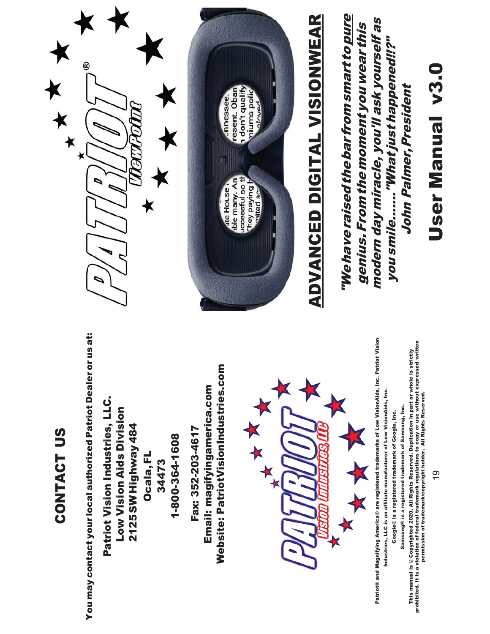### CONTACT US CONTACT US

You may contact your local authorized Patriot Dealer or us at: You may contact your local authorized Patriot Dealer or us at:

Patriot Vision Industries, LLC. Patriot Vision Industries, LLC. Low Vision Aids Division Low Vision Aids Division 2125 SW Highway 484 2125 SW Highway 484 1-800-364-1608 1-800-364-16 Ocala, FL Ocala, FL 34473

Website: PatriotVisionIndustries.com Website: PatriotVisionIndustries.com Email: magifyingamerica.com Email: magifyingamerica.com Fax: 352-203-4617 Fax: 352-203-4617



Patriot® and Magnifying America® are registered trademarks of Low VisionAids, Inc. Patriot Vision Patriot® and Magnifying America® are registered trademarks of Low VisionAids, Inc. Patriot Vision Industries, LLC is an affiliate manufacturer of Low VisionAids, Inc. Industries, LLC is an affiliate manufacturer of Low VisionAids, Inc.

Google® is a registered trademark of Google, Inc. Google® is a registered trademark of Google, Inc.

Samsung® is a registered trademark of Samsung, Inc. Samsung® is a registered trademark of Samsung, Inc.

This manual is © Copyrighted 2020. All Rights Reserved. Duplication in part or whole is strictly<br>prohibited. It is a violation of federal trademark regulations to copy or use without expressed written<br>permission of tradem prohibited. It is a violation of federal trademark regulations to copy or use without expressed written This manual is © Copyrighted 2020. All Rights Reserved. Duplication in part or whole is strictly permission of trademark/copyright holder. All Rights Reserved.





# **ADVANCED DIGITAL VISIONWEAR** ADVANCED DIGITAL VISIONWEAR

"We have raised the barfrom smart to pure "We have raised the bar from smart to pure

modern day miracle, you'll ask yourself as modern day miracle, you'll ask yourself as genius. From the moment you wear this genius. From the moment you wear this

you smile......."What just happened!!?" John Palmer, President

John Palmer, President

you smile......."What just happened!!?"

User Manual v3.0

User Manual v3.0

င္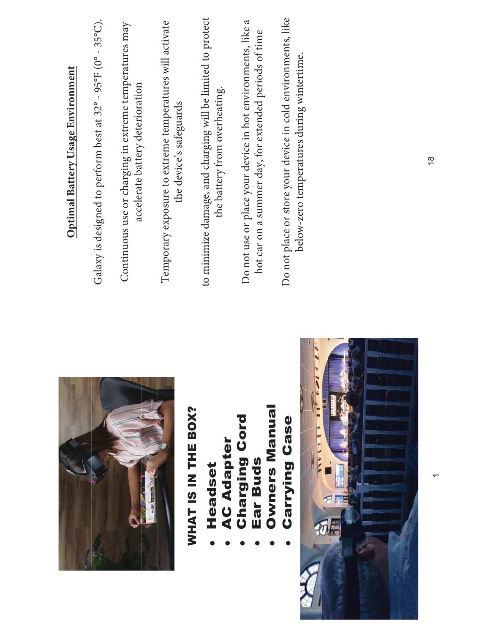|                                           | <b>Optimal Battery Usage Environment</b>                                                                                                                                         |
|-------------------------------------------|----------------------------------------------------------------------------------------------------------------------------------------------------------------------------------|
|                                           | Patriot ViewPoint is designed to perform best at 32° - 95°F<br>$(0^{\circ} - 35^{\circ}C).$                                                                                      |
|                                           | Continuous use or charging in extreme temperatures may<br>accelerate battery deterioration.                                                                                      |
| WHAT IS IN THE BOX?<br>Headset            | Temporary exposure to extreme temperatures will activate<br>the device's safeguards to minimize damage, and charging<br>will be limited to protect the battery from overheating. |
| <b>Charging Cord</b><br><b>AC Adapter</b> | Examples                                                                                                                                                                         |
| <b>Owners Manual</b><br>Ear Buds          | Do not use or place your device in hot environments, like a<br>hot car, for extended periods of time.                                                                            |
| <b>Carrying Case</b>                      | Do not place or store your device in cold environments, like<br>below-zero temperatures.                                                                                         |
|                                           |                                                                                                                                                                                  |
|                                           |                                                                                                                                                                                  |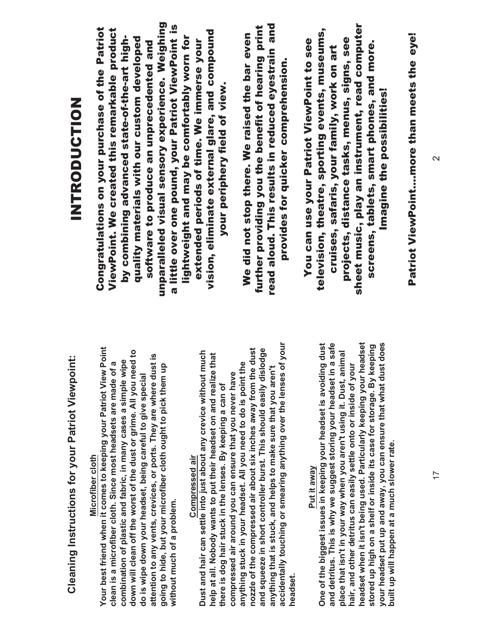### **Cleaning Instructions for your Patriot View Cleaning Instructions for your Patriot Viewpoint:**

### Microfiber cloth **Microfiber cloth**

Your best friend when it comes to keeping your Patriot View Point Your best friend when it comes to keeping your Patriot View Point down will clean off the worst of the dust or grime. All you need to down will clean off the worst of the dust or grime. All you need to attention to any vents, crevices, or ports. They are where dust is attention to any vents, crevices, or ports. They are where dust is combination of plastic and fabric, in many cases a simple wipe combination of plastic and fabric, in many cases a simple wipe clean is a microfiber cloth. Since most headsets are made of a clean is a microfiber cloth. Since most headsets are made of a going to hide, but your microfiber cloth ought to pick them up going to hide, but your microfiber cloth ought to pick them up do is wipe down your headset, being careful to give special do is wipe down your headset, being careful to give special without much of a problem. without much of a problem.

#### Compressed air Compressed air

accidentally touching or smearing anything over the lenses of your accidentally touching or smearing anything over the lenses of your nozzle of the compressed air about six inches away from the dust and squeeze in short controller burst. This should easily dislodge nozzle of the compressed air about six inches away from the dust and squeeze in short controller burst. This should easily dislodge Dust and hair can settle into just about any crevice without much Dust and hair can settle into just about any crevice without much help at all. Nobody wants to put their headset on and realize that help at all. Nobody wants to put their headset on and realize that anything stuck in your headset. All you need to do is point the anything stuck in your headset. All you need to do is point the anything that is stuck, and helps to make sure that you aren't compressed air around you can ensure that you never have anything that is stuck, and helps to make sure that you aren' compressed air around you can ensure that you never have there is dog hair stuck in the lenses. By keeping a can of there is dog hair stuck in the lenses. By keeping a can of headset. headset.

#### Put it away Put it away

and detritus. This is why we suggest storing your headset in a safe t being used. Particularly keeping your headset your headset put up and away, you can ensure that what dust does One of the biggest issues in keeping your headset is avoiding dust and detritus. This is why we suggest storing your headset in a safe headset when it isn't being used. Particularly keeping your headset your headset put up and away, you can ensure that what dust does One of the biggest issues in keeping your headset is avoiding dust stored up high on a shelf or inside its case for storage. By keeping stored up high on a shelf or inside its case for storage. By keeping t using it. Dust, animal place that isn't in your way when you aren't using it. Dust, animal hair, and other detritus can easily settle onto or inside of your hair, and other detritus can easily settle onto or inside of your t in your way when you aren' built up will happen at a much slower rate. built up will happen at a much slower rate. headset when it isn' place that isn'

### NTRODUCTION ZOILUDQOOM

unparalleled visual sensory experience. Weighing unparalleled visual sensory experience. Weighing a little over one pound, your Patriot ViewPoint is a little over one pound, your Patriot ViewPoint is Congratulations on your purchase of the Patriot ViewPoint. We created this remarkable product Congratulations on your purchase of the Patriot ViewPoint. We created this remarkable product vision, eliminate external glare, and compound vision, eliminate external glare, and compound by combining advanced state-of-the-art highlightweight and may be comfortably worn for quality materials with our custom developed lightweight and may be comfortably worn for extended periods of time. We immerse your by combining advanced state-of-the-art highquality materials with our custom developed extended periods of time. We immerse your software to produce an unprecedented and software to produce an unprecedented and your periphery field of view. your periphery field of view.

read aloud. This results in reduced eyestrain and read aloud. This results in reduced eyestrain and further providing you the benefit of hearing print further providing you the benefit of hearing print We did not stop there. We raised the bar even We did not stop there. We raised the bar even provides for quicker comprehension. provides for quicker comprehension.

sheet music, play an instrument, read computer sheet music, play an instrument, read computer television, theatre, sporting events, museums, television, theatre, sporting events, museums, projects, distance tasks, menus, signs, see You can use your Patriot ViewPoint to see projects, distance tasks, menus, signs, see You can use your Patriot ViewPoint to see screens, tablets, smart phones, and more. screens, tablets, smart phones, and more. cruises, safaris, your family, work on art cruises, safaris, your family, work on art Imagine the possibilities! Imagine the possibilities!

Patriot ViewPoint....more than meets the eye! Patriot ViewPoint....more than meets the eye!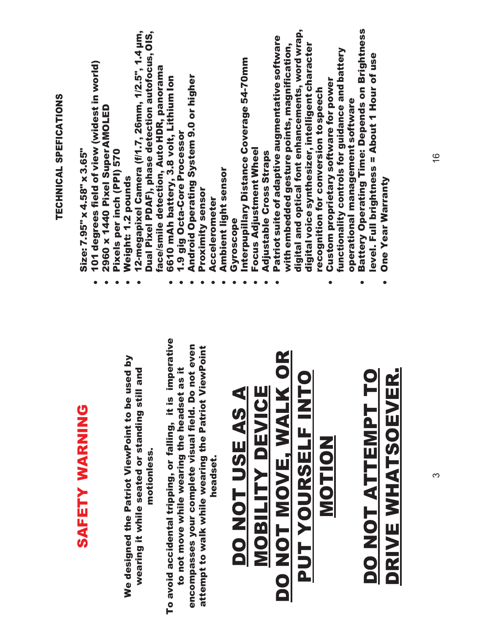|                                                                | TECHNICAL SPEFICATIONS                                                                          |
|----------------------------------------------------------------|-------------------------------------------------------------------------------------------------|
| SAFETY WARNING                                                 | Size: 7.95" x 4.58" x 3.65"                                                                     |
|                                                                | 101 degrees field of view (widest in world)                                                     |
|                                                                | 2960 x 1440 Pixel Super AMOLED                                                                  |
|                                                                | Pixels per inch (PPI) 570                                                                       |
| We designed the Patriot ViewPoint to be used by                | Weight: 1.2 pounds                                                                              |
| $\overline{2}$<br>wearing it while seated or standing still an | 12-megapixel Camera (f/1.7, 26mm, 1/2.5", 1.4 µm,                                               |
| motionless.                                                    | Dual Pixel PDAF), phase detection autofocus, OIS,                                               |
|                                                                | face/smile detection, Auto HDR, panorama                                                        |
| To avoid accidental tripping, or falling, it is imperative     | 6610 mAh battery, 3.8 volt, Lithium lon                                                         |
| Ħ.<br>to not move while wearing the headset as                 | 1.9 gig Octa-Core Processor                                                                     |
| encompasses your complete visual field. Do not even            | Android Operating System 9.0 or higher                                                          |
| attempt to walk while wearing the Patriot ViewPoint            | Proximity sensor                                                                                |
| headset.                                                       | Accelerometer                                                                                   |
|                                                                | Ambient light sensor                                                                            |
| DO NOT USE AS A                                                | Gyroscope                                                                                       |
|                                                                | Interpupillary Distance Coverage 54-70mm                                                        |
|                                                                | Focus Adjustment Wheel                                                                          |
| <b>MOBILITY DEVICE</b>                                         | Adjustable Cross Straps                                                                         |
|                                                                | Patriot suite of adaptive augmentative software                                                 |
| $\frac{R}{D}$<br>DO NOT MOVE, WALK                             | with embedded gesture points, magnification,                                                    |
|                                                                | digital and optical font enhancements, word wrap,                                               |
| PUT YOURSELF INTO                                              | digital voice synthesizer, intelligent character                                                |
| <b>NOLDE</b>                                                   | recognition for conversion to speech                                                            |
|                                                                | functionality controls for guidance and battery<br><b>Custom proprietary software for power</b> |
|                                                                | operational management software                                                                 |
|                                                                | <b>Battery Operating Time: Depends on Brightness</b>                                            |
| DO NOT ATTEMPT TO                                              | level. Full brightness = About 1 Hour of use                                                    |
| DRIVE WHATSOEVER.                                              | <b>One Year Warranty</b>                                                                        |
|                                                                |                                                                                                 |
|                                                                |                                                                                                 |
|                                                                |                                                                                                 |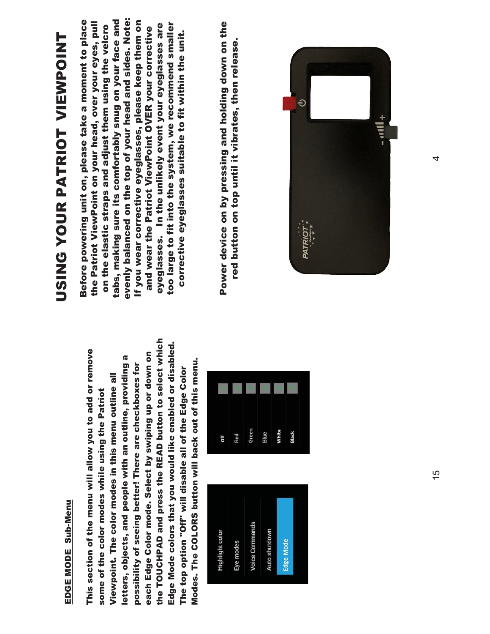### EDGE MODE Sub-Menu EDGE MODE Sub-Menu

the TOUCHPAD and press the READ button to select which the TOUCHPAD and press the READ button to select which Edge Mode colors that you would like enabled or disabled. Edge Mode colors that you would like enabled or disabled. This section of the menu will allow you to add or remove This section of the menu will allow you to add or remove each Edge Color mode. Select by swiping up or down on each Edge Color mode. Select by swiping up or down on letters, objects, and people with an outline, providing a letters, objects, and people with an outline, providing a Modes. The COLORS button will back out of this menu. Modes. The COLORS button will back out of this menu. possibility of seeing better! There are checkboxes for possibility of seeing better! There are checkboxes for The top option "Off" will disable all of the Edge Color The top option "Off" will disable all of the Edge Color Viewpoint. The color modes in this menu outline all Viewpoint. The color modes in this menu outline all some of the color modes while using the Patriot some of the color modes while using the Patriot





# USING YOUR PATRIOT VIEWPOINT USING YOUR PATRIOT VIEWPOINT

evenly balanced on the top of your head and sides. Note: Before powering unit on, please take a moment to place tabs, making sure its comfortably snug on your face and Before powering unit on, please take a moment to place evenly balanced on the top of your head and sides. Note: If you wear corrective eyeglasses, please keep them on the Patriot ViewPoint on your head, over your eyes, pull tabs, making sure its comfortably snug on your face and If you wear corrective eyeglasses, please keep them on too large to fit into the system, we recommend smaller the Patriot ViewPoint on your head, over your eyes, pull eyeglasses. In the unlikely event your eyeglasses are too large to fit into the system, we recommend smaller on the elastic straps and adjust them using the velcro on the elastic straps and adjust them using the velcro eyeglasses. In the unlikely event your eyeglasses are and wear the Patriot ViewPoint OVER your corrective and wear the Patriot ViewPoint OVER your corrective corrective eyeglasses suitable to fit within the unit. corrective eyeglasses suitable to fit within the unit.

Power device on by pressing and holding down on the Power device on by pressing and holding down on the red button on top until it vibrates, then release. red button on top until it vibrates, then release.

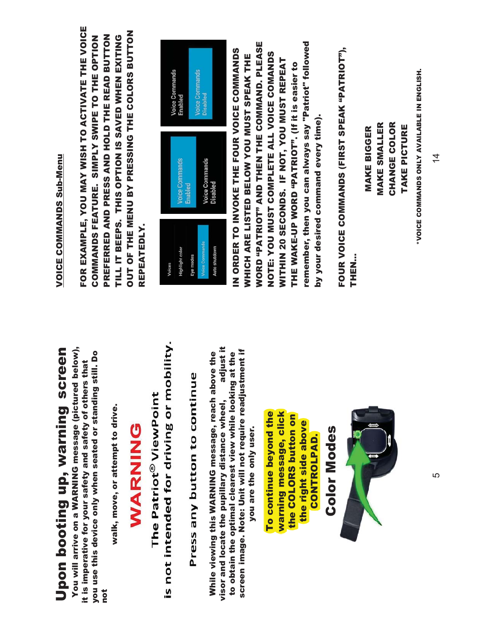## Upon booting up, warning screen Upon booting up, warning screen

You will arrive on a WARNING message (pictured below), You will arrive on a WARNING message (pictured below), you use this device only when seated or standing still. Do you use this device only when seated or standing still. Do it is imperative for your safety and safety of others that it is imperative for your safety and safety of others that not

walk, move, or attempt to drive. walk, move, or attempt to drive.

### **ONINARY**

is not intended for driving or mobility. The Patriot® ViewPoint

# Press any button to continue

adjust it visor and locate the pupillary distance wheel, adjust it screen image. Note: Unit will not require readjustment if screen image. Note: Unit will not require readjustment if While viewing this WARNING message, reach above the to obtain the optimal clearest view while looking at the to obtain the optimal clearest view while looking at the While viewing this WARNING message, reach above the visor and locate the pupillary distance wheel, you are the only user. you are the only user.

To continue beyond the warning message, click To continue beyond the warning message, click the COLORS button on the COLORS button on the right side above the right side above **CONTROLPAD.** CONTROLPAD.

Color Modes **Color Modes** 



### VOICE COMMANDS Sub-Menu VOICE COMMANDS Sub-Menu

FOR EXAMPLE, YOU MAY WISH TO ACTIVATE THE VOICE FOR EXAMPLE, YOU MAY WISH TO ACTIVATE THE VOICE OUT OF THE MENU BY PRESSING THE COLORS BUTTON **OUT OF THE MENU BY PRESSING THE COLORS BUTTON** PREFERRED AND PRESS AND HOLD THE READ BUTTON TILL IT BEEPS. THIS OPTION IS SAVED WHEN EXITING COMMANDS FEATURE. SIMPLY SWIPE TO THE OPTION PREFERRED AND PRESS AND HOLD THE READ BUTTON COMMANDS FEATURE. SIMPLY SWIPE TO THE OPTION TILL IT BEEPS. THIS OPTION IS SAVED WHEN EXITING REPEATEDLY. REPEATEDLY.



remember, then you can always say "Patriot" followed WORD "PATRIOT" AND THEN THE COMMAND. PLEASE remember, then you can always say "Patriot" followed *NORD "PATRIOT" AND THEN THE COMMAND. PLEASE* IN ORDER TO INVOKE THE FOUR VOICE COMMANDS IN ORDER TO INVOKE THE FOUR VOICE COMMANDS NOTE: YOU MUST COMPLETE ALL VOICE COMANDS NOTE: YOU MUST COMPLETE ALL VOICE COMANDS WHICH ARE LISTED BELOW YOU MUST SPEAK THE *NHICH ARE LISTED BELOW YOU MUST SPEAK THE* WITHIN 20 SECONDS. IF NOT, YOU MUST REPEAT WITHIN 20 SECONDS. IF NOT, YOU MUST REPEAT THE WAKE-UP WORD "PATRIOT". (If it is easier to THE WAKE-UP WORD "PATRIOT". (If it is easier to by your desired command every time). by your desired command every time).

FOUR VOICE COMMANDS (FIRST SPEAK "PATRIOT"), FOUR VOICE COMMANDS (FIRST SPEAK "PATRIOT"), THEN…

MAKE SMALLER CHANGE COLOR **MAKE SMALLER** CHANGE COLOR TAKE PICTURE MAKE BIGGER TAKE PICTURE **MAKE BIGGER** 

"VOICE COMMANDS ONLY AVAILABLE IN ENGLISH. \*VOICE COMMANDS ONLY AVAILABLE IN ENGLISH.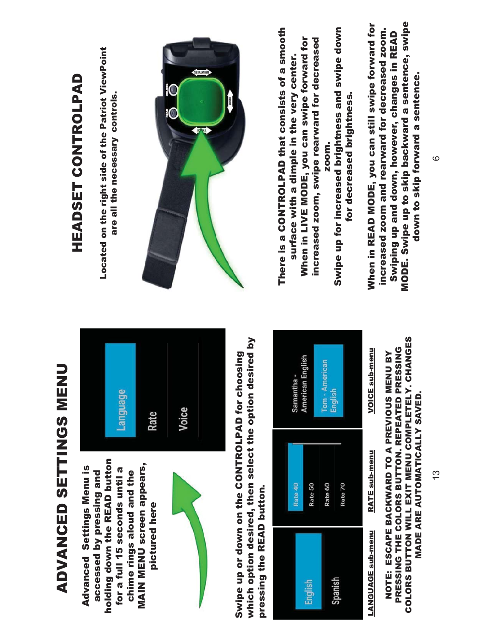### ADVANCED SETTINGS MENU ADVANCED SETTINGS MENU

holding down the READ button holding down the READ button MAIN MENU screen appears, **MAIN MENU screen appears,** Advanced Settings Menu is for a full 15 seconds until a **Advanced Settings Menu is** for a full 15 seconds until a chime rings aloud and the accessed by pressing and accessed by pressing and chime rings aloud and the pictured here pictured here





which option desired, then select the option desired by which option desired, then select the option desired by Swipe up or down on the CONTROLPAD for choosing Swipe up or down on the CONTROLPAD for choosing pressing the READ button. pressing the READ button.



#### COLORS BUTTON WILL EXIT MENU COMPLETELY. CHANGES COLORS BUTTON WILL EXIT MENU COMPLETELY. CHANGES PRESSING THE COLORS BUTTON. REPEATED PRESSING PRESSING THE COLORS BUTTON. REPEATED PRESSING NOTE: ESCAPE BACKWARD TO A PREVIOUS MENU BY NOTE: ESCAPE BACKWARD TO A PREVIOUS MENU BY MADE ARE AUTOMATICALLY SAVED. **MADE ARE AUTOMATICALLY SAVED.**

### HEADSET CONTROLPAD HEADSET CONTROLPAD

Located on the right side of the Patriot ViewPoint Located on the right side of the Patriot ViewPoint are all the necessary controls. are all the necessary controls.



There is a CONTROLPAD that consists of a smooth There is a CONTROLPAD that consists of a smooth When in LIVE MODE, you can swipe forward for increased zoom, swipe rearward for decreased When in LIVE MODE, you can swipe forward for increased zoom, swipe rearward for decreased surface with a dimple in the very center. surface with a dimple in the very center.

Swipe up for increased brightness and swipe down Swipe up for increased brightness and swipe down for decreased brightness. for decreased brightness. zoom. zoom.

MODE. Swipe up to skip backward a sentence, swipe When in READ MODE, you can still swipe forward for MODE. Swipe up to skip backward a sentence, swipe When in READ MODE, you can still swipe forward for increased zoom and rearward for decreased zoom. increased zoom and rearward for decreased zoom. Swiping up and down, however, changes in READ Swiping up and down, however, changes in READ down to skip forward a sentence. down to skip forward a sentence.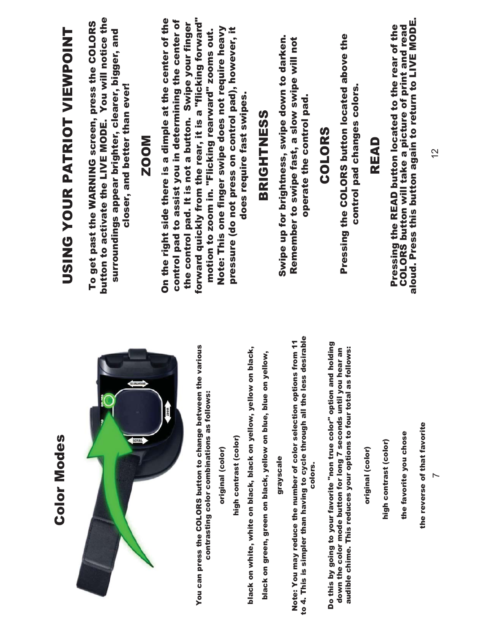#### button to activate the LIVE MODE. You will notice the forward quickly from the rear, it is a "flicking forward" On the right side there is a dimple at the center of the button to activate the LIVE MODE. You will notice the On the right side there is a dimple at the center of the control pad to assist you in determining the center of forward quickly from the rear, it is a "flicking forward" To get past the WARNING screen, press the COLORS control pad to assist you in determining the center of To get past the WARNING screen, press the COLORS the control pad. It is not a button. Swipe your finger the control pad. It is not a button. Swipe your finger Pressing the READ button located to the rear of the USING YOUR PATRIOT VIEWPOINT Note: This one finger swipe does not require heavy pressure (do not press on control pad), however, it motion to zoom in. "Flicking rearward" zooms out. Note: This one finger swipe does not require heavy surroundings appear brighter, clearer, bigger, and surroundings appear brighter, clearer, bigger, and motion to zoom in. "Flicking rearward" zooms out. pressure (do not press on control pad), however, it USING YOUR PATRIOT VIEWPOINT Swipe up for brightness, swipe down to darken. Pressing the COLORS button located above the Pressing the COLORS button located above the Swipe up for brightness, swipe down to darken. Remember to swipe fast, a slow swipe will not Remember to swipe fast, a slow swipe will not closer, and better than ever! control pad changes colors. closer, and better than ever! control pad changes colors. does require fast swipes. operate the control pad. does require fast swipes. operate the control pad. **BRIGHTNESS** SSENETHS COLORS COLORS ZOOM READ to 4. This is simpler than having to cycle through all the less desirable to 4. This is simpler than having to cycle through all the less desirable Note: You may reduce the number of color selection options from 11 Note: You may reduce the number of color selection options from 11 Do this by going to your favorite "non true color" option and holding<br>down the color mode button for long 7 seconds until you hear an You can press the COLORS button to change between the various Do this by going to your favorite "non true color" option and holding You can press the COLORS button to change between the various black on white, white on black, black on yellow, yellow on black, audible chime. This reduces your options to four total as follows: black on white, white on black, black on yellow, yellow on black, down the color mode button for long 7 seconds until you hear an audible chime. This reduces your options to four total as follows: black on green, green on black, yellow on blue, blue on yellow, black on green, green on black, yellow on blue, blue on yellow, contrasting color combinations as follows: contrasting color combinations as follows: the favorite you chose the favorite you chose high contrast (color) **Color Modes** high contrast (color) Color Modeshigh contrast (color) high contrast (color) original (color) original (color) original (color) original (color) grayscale grayscale colors. colors.

aloud. Press this button again to return to LIVE MODE. **Pressing the READ button located to the rear of the<br>COLORS button will take a picture of print and read<br>aloud. Press this button again to return to LIVE MODE.** COLORS button will take a picture of print and read

> the reverse of that favorite the reverse of that favorite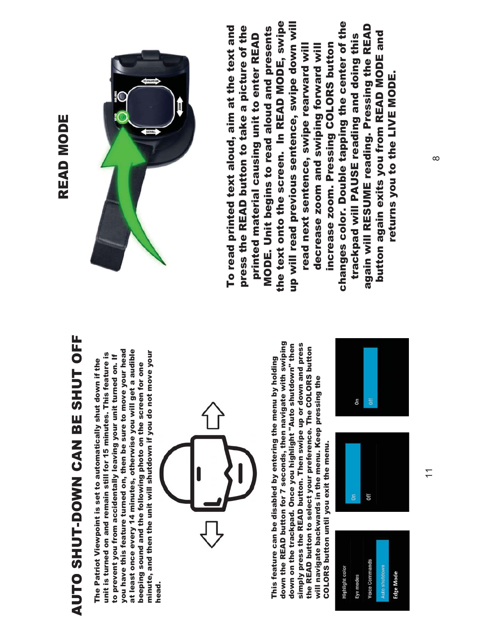### READ MODE READ MODE

# AUTO SHUT-DOWN CAN BE SHUT OFF AUTO SHUT-DOWN CAN BE SHUT OFF

at least once every 14 minutes, otherwise you will get a audible you have this feature turned on, then be sure to move your head at least once every 14 minutes, otherwise you will get a audible you have this feature turned on, then be sure to move your head minute, and then the unit will shutdown if you do not move your unit is turned on and remain still for 15 minutes. This feature is minute, and then the unit will shutdown if you do not move your unit is turned on and remain still for 15 minutes. This feature is to prevent you from accidentally leaving your unit turned on. If to prevent you from accidentally leaving your unit turned on. If The Patriot Viewpoint is set to automatically shut down if the The Patriot Viewpoint is set to automatically shut down if the beeping sound and the following photo on the screen for one beeping sound and the following photo on the screen for one head.



down the READ button for 7 seconds, then navigate with swiping down the READ button for 7 seconds, then navigate with swiping simply press the READ button. Then swipe up or down and press down on the trackpad. Once you highlight "Auto shutdown" then down on the trackpad. Once you highlight "Auto shutdown" then simply press the READ button. Then swipe up or down and press the READ button to select your preference. The COLORS button the READ button to select your preference. The COLORS button This feature can be disabled by entering the menu by holding This feature can be disabled by entering the menu by holding will navigate backwards in the menu. Keep pressing the will navigate backwards in the menu. Keep pressing the COLORS button until you exit the menu. COLORS button until you exit the menu.







the text onto the screen. In READ MODE, swipe up will read previous sentence, swipe down will the text onto the screen. In READ MODE, swipe up will read previous sentence, swipe down will changes color. Double tapping the center of the again will RESUME reading. Pressing the READ changes color. Double tapping the center of the To read printed text aloud, aim at the text and press the READ button to take a picture of the MODE. Unit begins to read aloud and presents again will RESUME reading. Pressing the READ To read printed text aloud, aim at the text and press the READ button to take a picture of the MODE. Unit begins to read aloud and presents button again exits you from READ MODE and printed material causing unit to enter READ button again exits you from READ MODE and trackpad will PAUSE reading and doing this trackpad will PAUSE reading and doing this printed material causing unit to enter READ increase zoom. Pressing COLORS button read next sentence, swipe rearward will decrease zoom and swiping forward will increase zoom. Pressing COLORS button read next sentence, swipe rearward will decrease zoom and swiping forward will returns you to the LIVE MODE. returns you to the LIVE MODE.